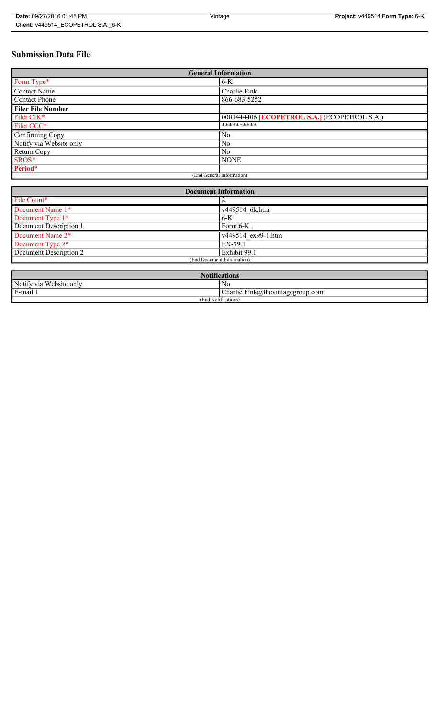## **Submission Data File**

| <b>General Information</b> |                                                     |  |
|----------------------------|-----------------------------------------------------|--|
| Form Type*                 | $6-K$                                               |  |
| <b>Contact Name</b>        | Charlie Fink                                        |  |
| <b>Contact Phone</b>       | 866-683-5252                                        |  |
| <b>Filer File Number</b>   |                                                     |  |
| Filer CIK <sup>*</sup>     | 0001444406 <b>[ECOPETROL S.A.]</b> (ECOPETROL S.A.) |  |
| Filer CCC*                 | **********                                          |  |
| Confirming Copy            | N <sub>0</sub>                                      |  |
| Notify via Website only    | N <sub>0</sub>                                      |  |
| Return Copy                | N <sub>0</sub>                                      |  |
| SROS*                      | <b>NONE</b>                                         |  |
| Period*                    |                                                     |  |
| (End General Information)  |                                                     |  |

| <b>Document Information</b>  |                    |  |
|------------------------------|--------------------|--|
| File Count*                  |                    |  |
| Document Name 1*             | v449514 6k.htm     |  |
| Document Type 1*             | $6-K$              |  |
| Document Description 1       | Form 6-K           |  |
| Document Name 2 <sup>*</sup> | v449514 ex99-1.htm |  |
| Document Type 2*             | EX-99.1            |  |
| Document Description 2       | Exhibit 99.1       |  |
| (End Document Information)   |                    |  |
|                              |                    |  |

| <b>Notifications</b>    |                                            |  |
|-------------------------|--------------------------------------------|--|
| Notify via Website only | No                                         |  |
| E-mail 1                | $\Gamma$ Charlie. Fink@thevintagegroup.com |  |
| (End Notifications)     |                                            |  |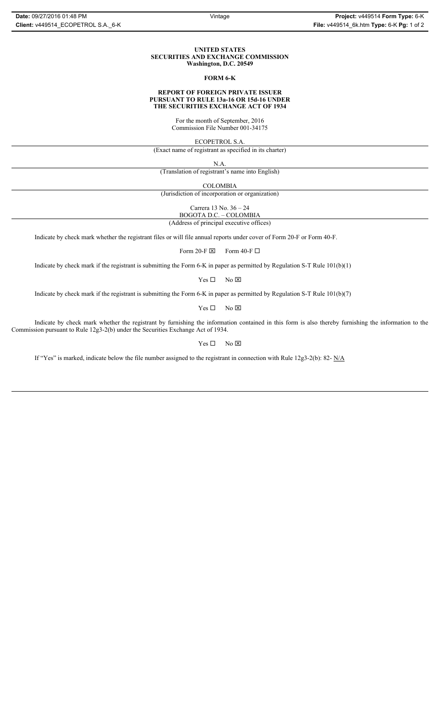#### **UNITED STATES SECURITIES AND EXCHANGE COMMISSION Washington, D.C. 20549**

#### **FORM 6-K**

#### **REPORT OF FOREIGN PRIVATE ISSUER PURSUANT TO RULE 13a-16 OR 15d-16 UNDER THE SECURITIES EXCHANGE ACT OF 1934**

For the month of September, 2016 Commission File Number 001-34175

ECOPETROL S.A.

(Exact name of registrant as specified in its charter)

N.A.

(Translation of registrant's name into English)

COLOMBIA

(Jurisdiction of incorporation or organization)

Carrera 13 No. 36 – 24

BOGOTA D.C. – COLOMBIA

(Address of principal executive offices)

Indicate by check mark whether the registrant files or will file annual reports under cover of Form 20-F or Form 40-F.

Form 20-F  $\boxtimes$  Form 40-F  $\Box$ 

Indicate by check mark if the registrant is submitting the Form 6-K in paper as permitted by Regulation S-T Rule 101(b)(1)

 $Yes \Box$  No  $\boxtimes$ 

Indicate by check mark if the registrant is submitting the Form 6-K in paper as permitted by Regulation S-T Rule 101(b)(7)

 $Yes \Box$  No  $\boxtimes$ 

Indicate by check mark whether the registrant by furnishing the information contained in this form is also thereby furnishing the information to the Commission pursuant to Rule 12g3-2(b) under the Securities Exchange Act of 1934.

 $Yes \Box$  No  $\boxtimes$ 

If "Yes" is marked, indicate below the file number assigned to the registrant in connection with Rule 12g3-2(b): 82- N/A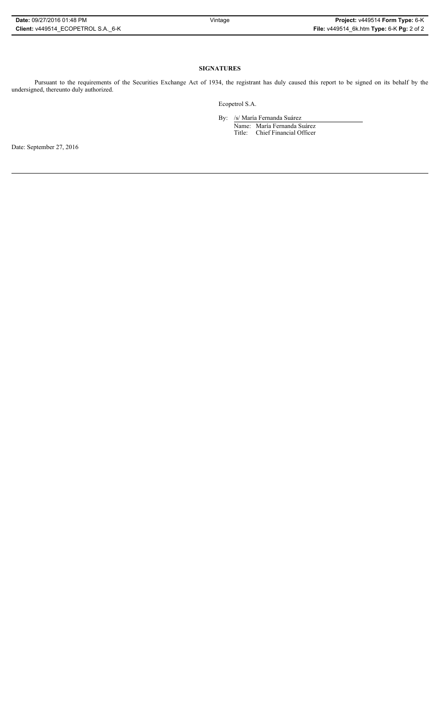#### **SIGNATURES**

Pursuant to the requirements of the Securities Exchange Act of 1934, the registrant has duly caused this report to be signed on its behalf by the undersigned, thereunto duly authorized.

Ecopetrol S.A.

By: /s/ María Fernanda Suárez Name: María Fernanda Suárez Title: Chief Financial Officer

Date: September 27, 2016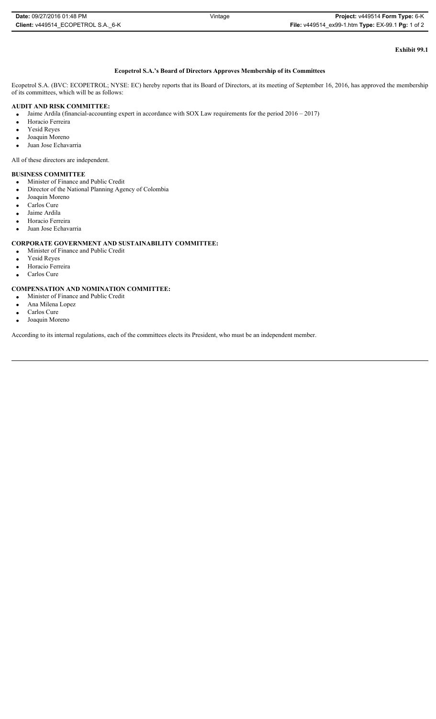| Date: 09/27/2016 01:48 PM          | Vintage | <b>Project: v449514 Form Type: 6-K</b>            |
|------------------------------------|---------|---------------------------------------------------|
| Client: v449514 ECOPETROL S.A. 6-K |         | File: v449514 ex99-1.htm Type: EX-99.1 Pg: 1 of 2 |

# **Exhibit 99.1**

## **Ecopetrol S.A.'s Board of Directors Approves Membership of its Committees**

Ecopetrol S.A. (BVC: ECOPETROL; NYSE: EC) hereby reports that its Board of Directors, at its meeting of September 16, 2016, has approved the membership of its committees, which will be as follows:

## **AUDIT AND RISK COMMITTEE:**

Jaime Ardila (financial-accounting expert in accordance with SOX Law requirements for the period 2016 – 2017)

- Horacio Ferreira
- Yesid Reyes
- $\bullet$  Joaquin Moreno
- Juan Jose Echavarria

All of these directors are independent.

## **BUSINESS COMMITTEE**

- x Minister of Finance and Public Credit
- Director of the National Planning Agency of Colombia
- Joaquin Moreno
- Carlos Cure
- Jaime Ardila
- Horacio Ferreira
- Juan Jose Echavarria

## **CORPORATE GOVERNMENT AND SUSTAINABILITY COMMITTEE:**

- x Minister of Finance and Public Credit
- Yesid Reyes
- Horacio Ferreira
- Carlos Cure

## **COMPENSATION AND NOMINATION COMMITTEE:**

- x Minister of Finance and Public Credit
- Ana Milena Lopez
- Carlos Cure  $\bullet$  Joaquin Moreno

According to its internal regulations, each of the committees elects its President, who must be an independent member.